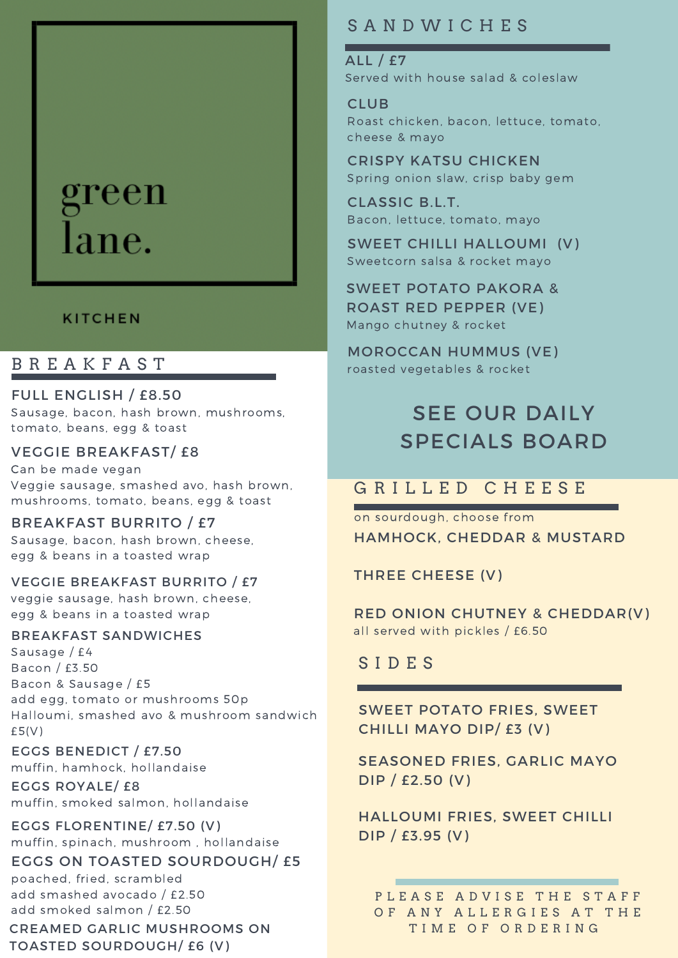# green lane.

### **KITCHEN**

## B R E A K F A S T

FULL ENGLISH / £8.50 Sausage, bacon, hash brown, mushrooms, tomato, beans, egg & toast

#### VEGGIE BREAKFAST/ £8

Can be made vegan Veggie sausage, smashed avo, hash brown, mushrooms, tomato, beans, egg & toast

BREAKFAST BURRITO / £7 Sausage, bacon, hash brown, cheese, egg & beans in a toasted wrap

#### VEGGIE BREAKFAST BURRITO / £7

veggie sausage, hash brown, cheese, egg & beans in a toasted wrap

#### BREAKFAST SANDWICHES

Sausage / £4 Bacon / £3.50 Bacon & Sausage / £5 add egg, tomato or mushrooms 50p Halloumi, smashed avo & mushroom sandwich  $£5(V)$ 

### EGGS BENEDICT / £7.50

muffin, hamhock, hollandaise

EGGS ROYALE/ £8 muffin, smoked salmon, hollandaise

EGGS FLORENTINE/ £7.50 (V) muffin, spinach, mushroom , hollandaise

EGGS ON TOASTED SOURDOUGH/ £5

poached, fried, scrambled add smashed avocado / £2.50 add smoked salmon / £2.50

CREAMED GARLIC MUSHROOMS ON TOASTED SOURDOUGH/ £6 (V)

# S A N D W I C H E S

ALL / £7 Served with house salad & coleslaw

CLUB Roast chicken, bacon, lettuce, tomato, cheese & mayo

CRISPY KATSU CHICKEN Spring onion slaw, crisp baby gem

CLASSIC B.L.T. Bacon, lettuce, tomato, mayo

SWEET CHILLI HALLOUMI (V) Sweetcorn salsa & rocket mayo

SWEET POTATO PAKORA & ROAST RED PEPPER (VE) Mango chutney & rocket

MOROCCAN HUMMUS (VE) roasted vegetables & rocket

# SEE OUR DAILY SPECIALS BOARD

# G R I L L E D C H E E S E

HAMHOCK, CHEDDAR & MUSTARD on sourdough, choose from

THREE CHEESE (V)

RED ONION CHUTNEY & CHEDDAR(V) all served with pickles / £6.50

S I D E S

SWEET POTATO FRIES, SWEET CHILLI MAYO DIP/ £3 (V)

SEASONED FRIES, GARLIC MAYO DIP / £2.50 (V)

HALLOUMI FRIES, SWEET CHILLI DIP / £3.95 (V)

PLEASE ADVISE THE STAFF OF ANY ALLERGIES AT THE T I M E O F O R D E R I N G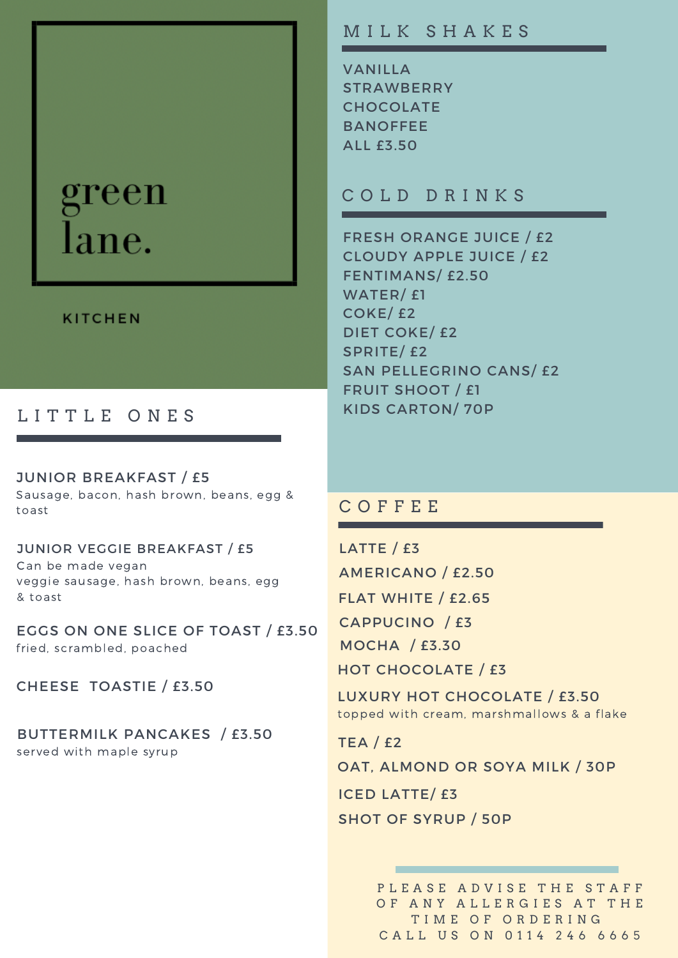# green lane.

#### **KITCHEN**

## LITTLE ONES

JUNIOR BREAKFAST / £5 Sausage, bacon, hash brown, beans, egg & toast

JUNIOR VEGGIE BREAKFAST / £5 Can be made vegan veggie sausage, hash brown, beans, egg & toast

EGGS ON ONE SLICE OF TOAST / £3.50 fried, scrambled, poached

CHEESE TOASTIE / £3.50

BUTTERMILK PANCAKES / £3.50 served with maple syrup

## M I L K S H A K E S

VANILLA **STRAWBERRY** CHOCOLATE BANOFFEE ALL £3.50

## C O L D D R I N K S

FRESH ORANGE JUICE / £2 CLOUDY APPLE JUICE / £2 FENTIMANS/ £2.50 WATER/ £1 COKE/ £2 DIET COKE/ £2 SPRITE/ £2 SAN PELLEGRINO CANS/ £2 FRUIT SHOOT / £1 KIDS CARTON/ 70P

### C O F F E E

LATTE / £3 AMERICANO / £2.50 FLAT WHITE / £2.65 CAPPUCINO / £3 MOCHA / £3.30

HOT CHOCOLATE / £3

LUXURY HOT CHOCOLATE / £3.50 topped with cream, marshmallows & a flake

TEA / £2 OAT, ALMOND OR SOYA MILK / 30P ICED LATTE/ £3 SHOT OF SYRUP / 50P

> PLEASE ADVISE THE STAFF OF ANY ALLERGIES AT THE TIME OF ORDERING C A L L U S O N 0 1 1 4 2 4 6 6 6 6 6 5